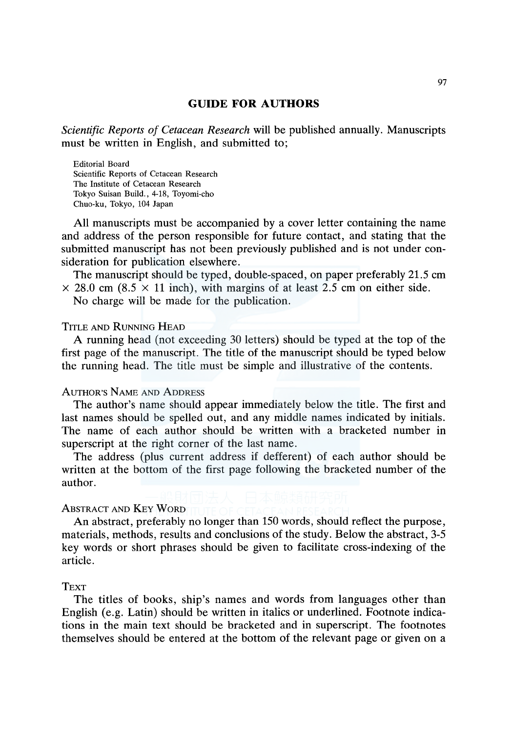# **GUIDE FOR AUTHORS**

*Scientific Reports of Cetacean Research* will be published annually. Manuscripts must be written in English, and submitted to;

Editorial Board Scientific Reports of Cetacean Research The Institute of Cetacean Research Tokyo Suisan Build., 4-18, Toyomi-cho Chuo-ku, Tokyo, 104 Japan

All manuscripts must be accompanied by a cover letter containing the name and address of the person responsible for future contact, and stating that the submitted manuscript has not been previously published and is not under consideration for publication elsewhere.

The manuscript should be typed, double-spaced, on paper preferably 21.5 cm  $\times$  28.0 cm (8.5  $\times$  11 inch), with margins of at least 2.5 cm on either side.

No charge will be made for the publication.

# TITLE AND RUNNING HEAD

A running head (not exceeding 30 letters) should be typed at the top of the first page of the manuscript. The title of the manuscript should be typed below the running head. The title must be simple and illustrative of the contents.

#### AUTHOR'S NAME AND ADDRESS

The author's name should appear immediately below the title. The first and last names should be spelled out, and any middle names indicated by initials. The name of each author should be written with a bracketed number in superscript at the right corner of the last name.

The address (plus current address if defferent) of each author should be written at the bottom of the first page following the bracketed number of the author.

#### ABSTRACT AND KEY WORD

An abstract, preferably no longer than 150 words, should reflect the purpose, materials, methods, results and conclusions of the study. Below the abstract, 3-5 key words or short phrases should be given to facilitate cross-indexing of the article.

### **TEXT**

The titles of books, ship's names and words from languages other than English (e.g. Latin) should be written in italics or underlined. Footnote indications in the main text should be bracketed and in superscript. The footnotes themselves should be entered at the bottom of the relevant page or given on a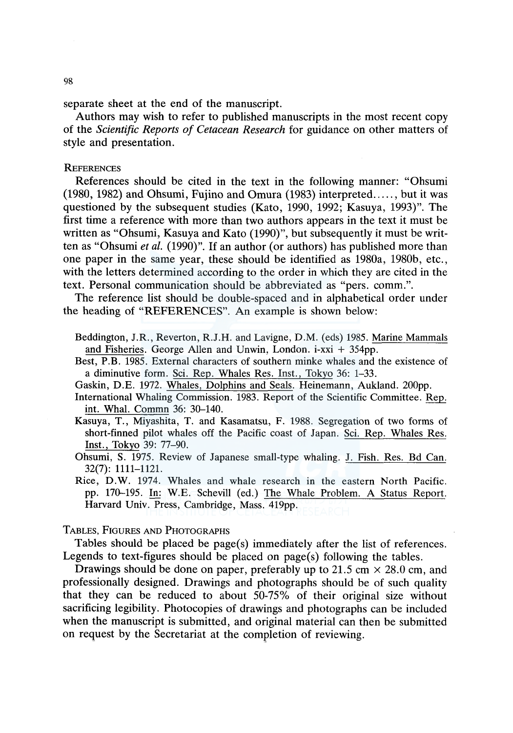separate sheet at the end of the manuscript.

Authors may wish to refer to published manuscripts in the most recent copy of the *Scientific Reports of Cetacean Research* for guidance on other matters of style and presentation.

#### **REFERENCES**

References should be cited in the text in the following manner: "Ohsumi (1980, 1982) and Ohsumi, Fujino and Omura (1983) interpreted ..... , but it was questioned by the subsequent studies (Kato, 1990, 1992; Kasuya, 1993)". The first time a reference with more than two authors appears in the text it must be written as "Ohsumi, Kasuya and Kato (1990)", but subsequently it must be written as "Ohsumi *et al.* (1990)". If an author (or authors) has published more than one paper in the same year, these should be identified as 1980a, 1980b, etc., with the letters determined according to the order in which they are cited in the text. Personal communication should be abbreviated as "pers. comm.".

The reference list should be double-spaced and in alphabetical order under the heading of "REFERENCES". An example is shown below:

- Beddington, J.R., Reverton, R.J.H. and Lavigne, D.M. (eds) 1985. Marine Mammals and Fisheries. George Allen and Unwin, London. i-xxi + 354pp.
- Best, P.B. 1985. External characters of southern minke whales and the existence of a diminutive form. Sci. Rep. Whales Res. Inst., Tokyo 36: 1-33.
- Gaskin, D.E. 1972. Whales, Dolphins and Seals. Heinemann, Aukland. 200pp.
- International Whaling Commission. 1983. Report of the Scientific Committee. Rep. int. Whal. Commn 36: 30-140.
- Kasuya, T., Miyashita, T. and Kasamatsu, F. 1988. Segregation of two forms of short-finned pilot whales off the Pacific coast of Japan. Sci. Rep. Whales Res. Inst., Tokyo 39: 77-90.
- Ohsumi, S. 1975. Review of Japanese small-type whaling. J. Fish. Res. Bd Can. 32(7): 1111-1121.
- Rice, D.W. 1974. Whales and whale research in the eastern North Pacific. pp. 170-195. In: W.E. Schevill (ed.) The Whale Problem. A Status Report. Harvard Univ. Press, Cambridge, Mass. 419pp.

### TABLES, FIGURES AND PHOTOGRAPHS

Tables should be placed be page(s) immediately after the list of references. Legends to text-figures should be placed on page(s) following the tables.

Drawings should be done on paper, preferably up to 21.5 cm  $\times$  28.0 cm, and professionally designed. Drawings and photographs should be of such quality that they can be reduced to about 50-75% of their original size without sacrificing legibility. Photocopies of drawings and photographs can be included when the manuscript is submitted, and original material can then be submitted on request by the Secretariat at the completion of reviewing.